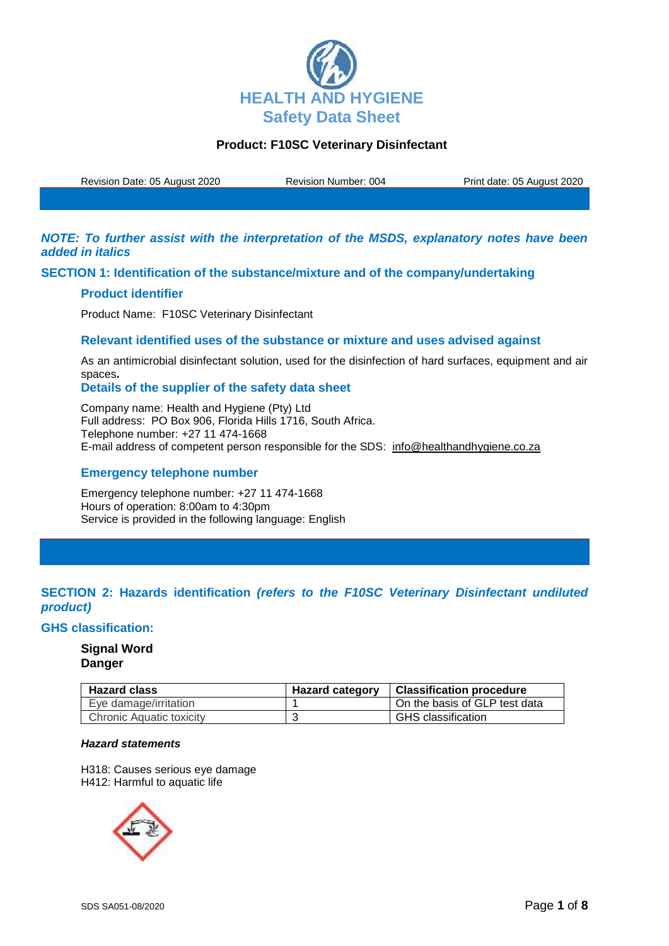

Revision Date: 05 August 2020 Revision Number: 004 Print date: 05 August 2020

*NOTE: To further assist with the interpretation of the MSDS, explanatory notes have been added in italics*

**SECTION 1: Identification of the substance/mixture and of the company/undertaking**

### **Product identifier**

Product Name: F10SC Veterinary Disinfectant

### **Relevant identified uses of the substance or mixture and uses advised against**

As an antimicrobial disinfectant solution, used for the disinfection of hard surfaces, equipment and air spaces**.**

**Details of the supplier of the safety data sheet**

Company name: Health and Hygiene (Pty) Ltd Full address: PO Box 906, Florida Hills 1716, South Africa. Telephone number: +27 11 474-1668 E-mail address of competent person responsible for the SDS: info@healthandhygiene.co.za

### **Emergency telephone number**

Emergency telephone number: +27 11 474-1668 Hours of operation: 8:00am to 4:30pm Service is provided in the following language: English

# **SECTION 2: Hazards identification** *(refers to the F10SC Veterinary Disinfectant undiluted product)*

#### **GHS classification:**

# **Signal Word Danger**

| <b>Hazard class</b>      | <b>Hazard category</b> | Classification procedure      |
|--------------------------|------------------------|-------------------------------|
| Eye damage/irritation    |                        | On the basis of GLP test data |
| Chronic Aquatic toxicity |                        | <b>GHS</b> classification     |

### *Hazard statements*

H318: Causes serious eye damage H412: Harmful to aquatic life

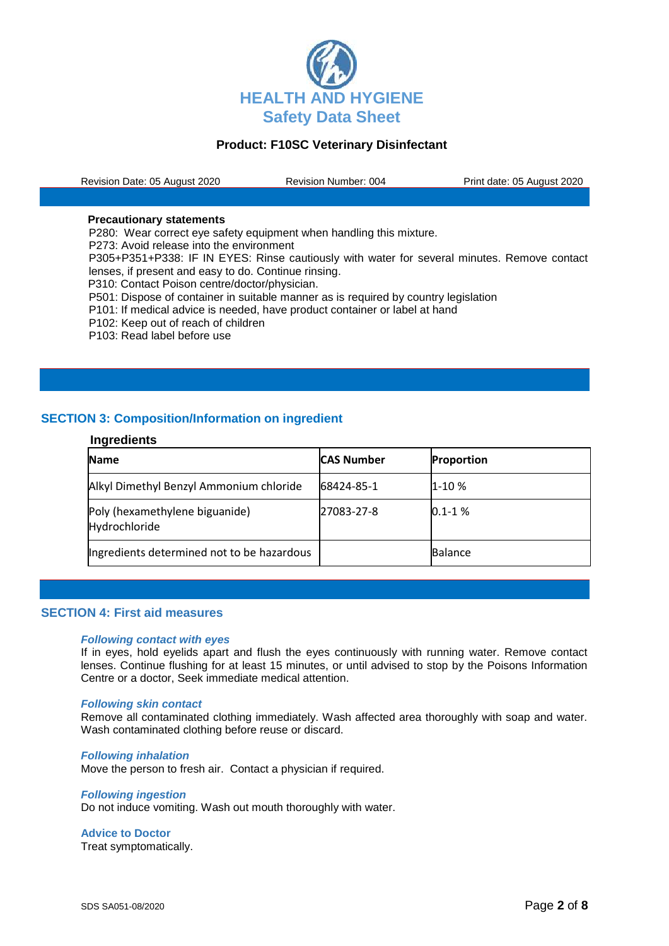

Revision Date: 05 August 2020 Revision Number: 004 Print date: 05 August 2020

#### **Precautionary statements**

P280: Wear correct eye safety equipment when handling this mixture.

P273: Avoid release into the environment

P305+P351+P338: IF IN EYES: Rinse cautiously with water for several minutes. Remove contact lenses, if present and easy to do. Continue rinsing.

P310: Contact Poison centre/doctor/physician.

P501: Dispose of container in suitable manner as is required by country legislation

- P101: If medical advice is needed, have product container or label at hand
- P102: Keep out of reach of children
- P103: Read label before use

# **SECTION 3: Composition/Information on ingredient**

#### **Ingredients**

| <b>Name</b>                                     | <b>CAS Number</b> | <b>Proportion</b> |
|-------------------------------------------------|-------------------|-------------------|
| Alkyl Dimethyl Benzyl Ammonium chloride         | 68424-85-1        | 1-10 %            |
| Poly (hexamethylene biguanide)<br>Hydrochloride | 27083-27-8        | $0.1 - 1$ %       |
| Ingredients determined not to be hazardous      |                   | <b>Balance</b>    |

#### **SECTION 4: First aid measures**

#### *Following contact with eyes*

If in eyes, hold eyelids apart and flush the eyes continuously with running water. Remove contact lenses. Continue flushing for at least 15 minutes, or until advised to stop by the Poisons Information Centre or a doctor, Seek immediate medical attention.

#### *Following skin contact*

Remove all contaminated clothing immediately. Wash affected area thoroughly with soap and water. Wash contaminated clothing before reuse or discard.

#### *Following inhalation*

Move the person to fresh air. Contact a physician if required.

#### *Following ingestion*

Do not induce vomiting. Wash out mouth thoroughly with water.

**Advice to Doctor** Treat symptomatically.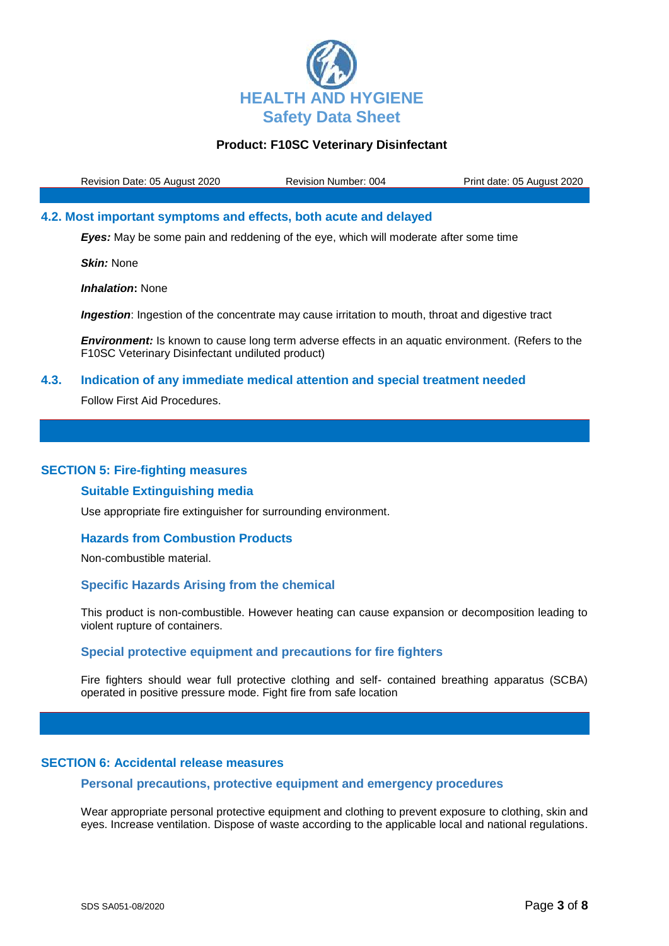

Revision Date: 05 August 2020 Revision Number: 004 Print date: 05 August 2020

## **4.2. Most important symptoms and effects, both acute and delayed**

*Eyes:* May be some pain and reddening of the eye, which will moderate after some time

*Skin:* None

*Inhalation***:** None

*Ingestion:* Ingestion of the concentrate may cause irritation to mouth, throat and digestive tract

*Environment:* Is known to cause long term adverse effects in an aquatic environment. (Refers to the F10SC Veterinary Disinfectant undiluted product)

### **4.3. Indication of any immediate medical attention and special treatment needed**

Follow First Aid Procedures.

#### **SECTION 5: Fire-fighting measures**

#### **Suitable Extinguishing media**

Use appropriate fire extinguisher for surrounding environment.

# **Hazards from Combustion Products**

Non-combustible material.

#### **Specific Hazards Arising from the chemical**

This product is non-combustible. However heating can cause expansion or decomposition leading to violent rupture of containers.

# **Special protective equipment and precautions for fire fighters**

Fire fighters should wear full protective clothing and self- contained breathing apparatus (SCBA) operated in positive pressure mode. Fight fire from safe location

# **SECTION 6: Accidental release measures**

#### **Personal precautions, protective equipment and emergency procedures**

Wear appropriate personal protective equipment and clothing to prevent exposure to clothing, skin and eyes. Increase ventilation. Dispose of waste according to the applicable local and national regulations.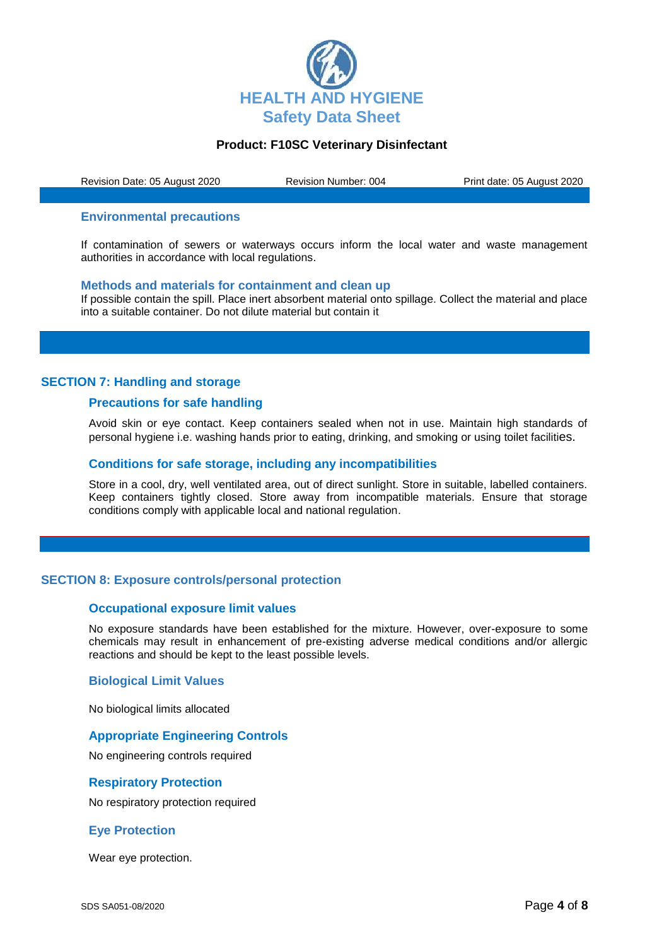

Revision Date: 05 August 2020 Revision Number: 004 Print date: 05 August 2020

#### **Environmental precautions**

If contamination of sewers or waterways occurs inform the local water and waste management authorities in accordance with local regulations.

#### **Methods and materials for containment and clean up**

If possible contain the spill. Place inert absorbent material onto spillage. Collect the material and place into a suitable container. Do not dilute material but contain it

### **SECTION 7: Handling and storage**

#### **Precautions for safe handling**

Avoid skin or eye contact. Keep containers sealed when not in use. Maintain high standards of personal hygiene i.e. washing hands prior to eating, drinking, and smoking or using toilet facilities.

#### **Conditions for safe storage, including any incompatibilities**

Store in a cool, dry, well ventilated area, out of direct sunlight. Store in suitable, labelled containers. Keep containers tightly closed. Store away from incompatible materials. Ensure that storage conditions comply with applicable local and national regulation.

## **SECTION 8: Exposure controls/personal protection**

#### **Occupational exposure limit values**

No exposure standards have been established for the mixture. However, over-exposure to some chemicals may result in enhancement of pre-existing adverse medical conditions and/or allergic reactions and should be kept to the least possible levels.

### **Biological Limit Values**

No biological limits allocated

# **Appropriate Engineering Controls**

No engineering controls required

## **Respiratory Protection**

No respiratory protection required

#### **Eye Protection**

Wear eye protection.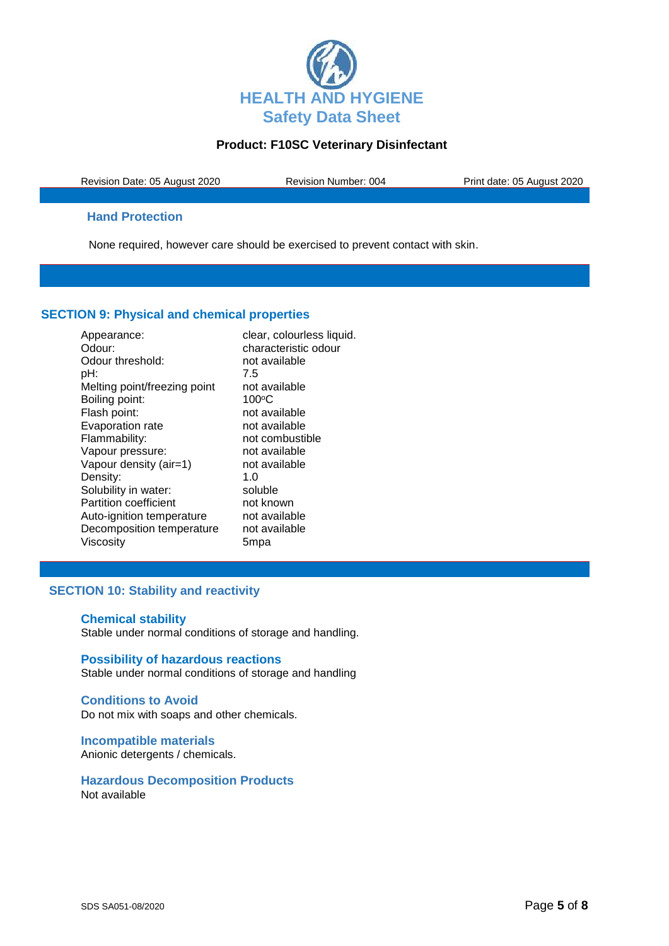

Revision Date: 05 August 2020 Revision Number: 004 Print date: 05 August 2020

# **Hand Protection**

None required, however care should be exercised to prevent contact with skin.

# **SECTION 9: Physical and chemical properties**

| Appearance:                  | clear, colourless liquid. |
|------------------------------|---------------------------|
| Odour:                       | characteristic odour      |
| Odour threshold:             | not available             |
| pH:                          | 7.5                       |
| Melting point/freezing point | not available             |
| Boiling point:               | $100^{\circ}$ C           |
| Flash point:                 | not available             |
| Evaporation rate             | not available             |
| Flammability:                | not combustible           |
| Vapour pressure:             | not available             |
| Vapour density (air=1)       | not available             |
| Density:                     | 1. $\Omega$               |
| Solubility in water:         | soluble                   |
| <b>Partition coefficient</b> | not known                 |
| Auto-ignition temperature    | not available             |
| Decomposition temperature    | not available             |
| Viscosity                    | 5mpa                      |

# **SECTION 10: Stability and reactivity**

## **Chemical stability** Stable under normal conditions of storage and handling.

**Possibility of hazardous reactions** Stable under normal conditions of storage and handling

## **Conditions to Avoid** Do not mix with soaps and other chemicals.

**Incompatible materials** Anionic detergents / chemicals.

**Hazardous Decomposition Products** Not available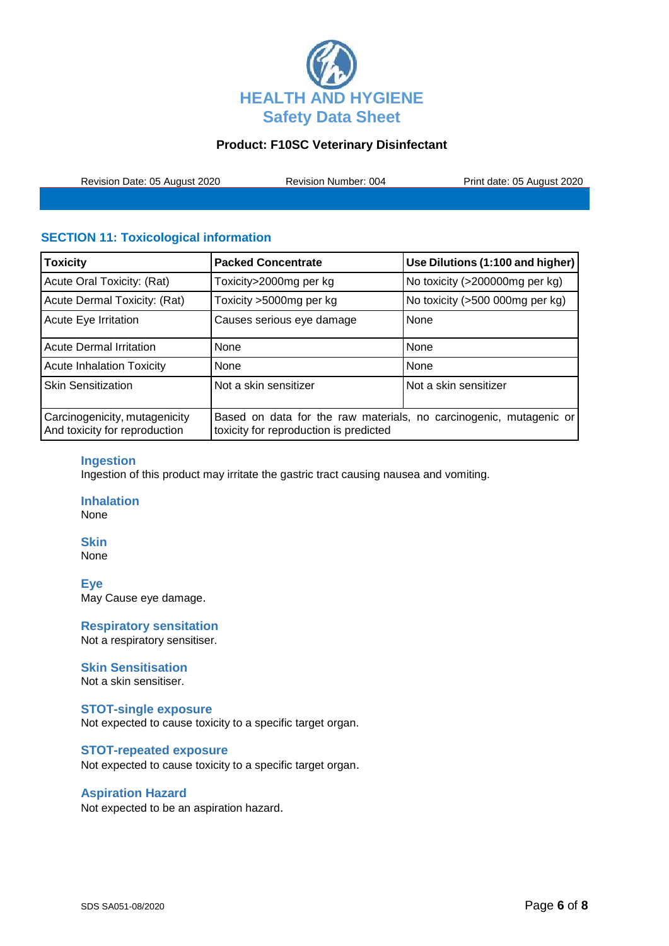

Revision Date: 05 August 2020 Revision Number: 004 Print date: 05 August 2020

# **SECTION 11: Toxicological information**

| <b>Toxicity</b>                                                | <b>Packed Concentrate</b>                                                                                    | Use Dilutions (1:100 and higher) |
|----------------------------------------------------------------|--------------------------------------------------------------------------------------------------------------|----------------------------------|
| Acute Oral Toxicity: (Rat)                                     | Toxicity>2000mg per kg                                                                                       | No toxicity (>200000mg per kg)   |
| Acute Dermal Toxicity: (Rat)                                   | Toxicity >5000mg per kg                                                                                      | No toxicity (>500 000mg per kg)  |
| <b>Acute Eye Irritation</b>                                    | Causes serious eye damage                                                                                    | None                             |
| <b>Acute Dermal Irritation</b>                                 | None                                                                                                         | None                             |
| <b>Acute Inhalation Toxicity</b>                               | None                                                                                                         | None                             |
| <b>Skin Sensitization</b>                                      | Not a skin sensitizer                                                                                        | Not a skin sensitizer            |
| Carcinogenicity, mutagenicity<br>And toxicity for reproduction | Based on data for the raw materials, no carcinogenic, mutagenic or<br>toxicity for reproduction is predicted |                                  |

## **Ingestion**

Ingestion of this product may irritate the gastric tract causing nausea and vomiting.

**Inhalation** None

# **Skin**

None

**Eye** May Cause eye damage.

**Respiratory sensitation** Not a respiratory sensitiser.

## **Skin Sensitisation**

Not a skin sensitiser.

## **STOT-single exposure**

Not expected to cause toxicity to a specific target organ.

## **STOT-repeated exposure**

Not expected to cause toxicity to a specific target organ.

# **Aspiration Hazard**

Not expected to be an aspiration hazard.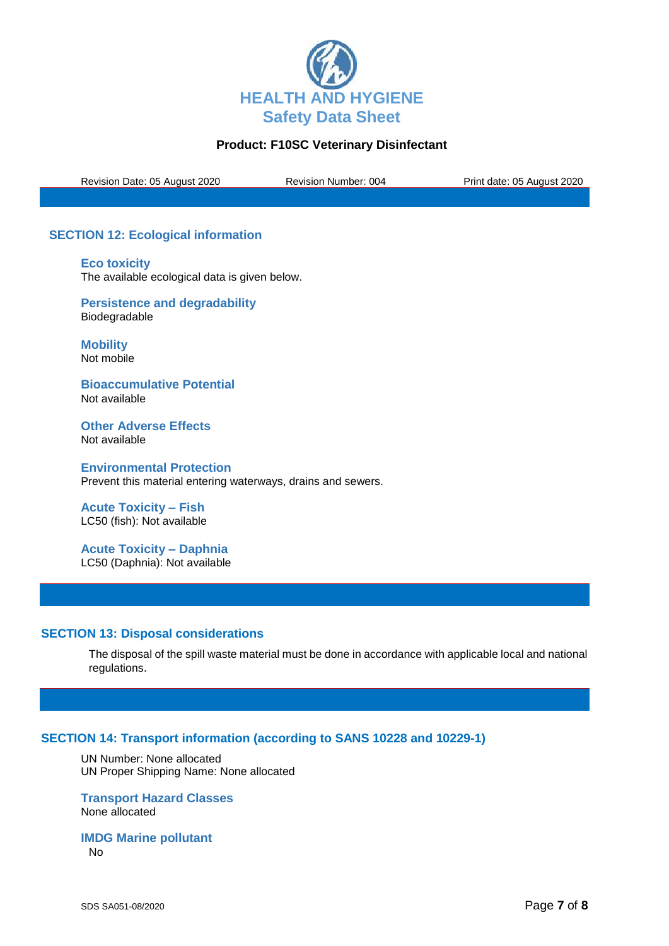

Revision Date: 05 August 2020 Revision Number: 004 Print date: 05 August 2020

# **SECTION 12: Ecological information**

**Eco toxicity** The available ecological data is given below.

**Persistence and degradability** Biodegradable

**Mobility** Not mobile

**Bioaccumulative Potential** Not available

**Other Adverse Effects** Not available

**Environmental Protection** Prevent this material entering waterways, drains and sewers.

**Acute Toxicity – Fish** LC50 (fish): Not available

**Acute Toxicity – Daphnia** LC50 (Daphnia): Not available

## **SECTION 13: Disposal considerations**

The disposal of the spill waste material must be done in accordance with applicable local and national regulations.

## **SECTION 14: Transport information (according to SANS 10228 and 10229-1)**

UN Number: None allocated UN Proper Shipping Name: None allocated

**Transport Hazard Classes** None allocated

**IMDG Marine pollutant** No